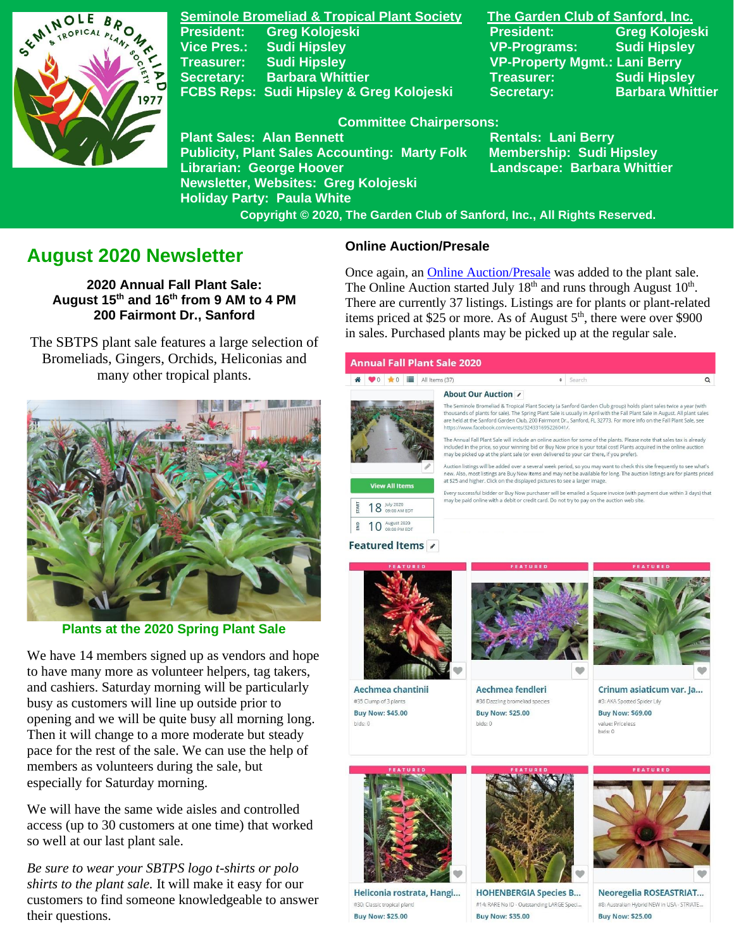

**Seminole Bromeliad & Tropical Plant Society The Garden Club of Sanford, Inc. Vice Pres.: Sudi Hipsley VP-Programs: Sudi Hipsley Treasurer: Sudi Hipsley VP-Property Mgmt.: Lani Berry Secretary:** Barbara Whittier **Network Secretary: Sudi Hipsley** FCBS Reps: Sudi Hipsley & Greg Kolojeski Secretary: Barbara Whittier

**President: Greg Kolojeski President: Greg Kolojeski** 

### **Committee Chairpersons:**

Plant Sales: Alan Bennett<br>Publicity, Plant Sales Accounting: Marty Folk Membership: Sudi Hipsley **Publicity, Plant Sales Accounting: Marty Folk Librarian: George Hoover Landscape: Barbara Whittier Newsletter, Websites: Greg Kolojeski Holiday Party: Paula White** 

 **Copyright © 2020, The Garden Club of Sanford, Inc., All Rights Reserved.**

# **August 2020 Newsletter**

**2020 Annual Fall Plant Sale: August 15th and 16th from 9 AM to 4 PM 200 Fairmont Dr., Sanford**

 The SBTPS plant sale features a large selection of Bromeliads, Gingers, Orchids, Heliconias and many other tropical plants.



**Plants at the 2020 Spring Plant Sale**

We have 14 members signed up as vendors and hope to have many more as volunteer helpers, tag takers, and cashiers. Saturday morning will be particularly busy as customers will line up outside prior to opening and we will be quite busy all morning long. Then it will change to a more moderate but steady pace for the rest of the sale. We can use the help of members as volunteers during the sale, but especially for Saturday morning.

We will have the same wide aisles and controlled access (up to 30 customers at one time) that worked so well at our last plant sale.

*Be sure to wear your SBTPS logo t-shirts or polo shirts to the plant sale.* It will make it easy for our customers to find someone knowledgeable to answer their questions.

### **Online Auction/Presale**

Once again, an [Online Auction/Presale](https://www.32auctions.com/annualfallplantsale2020) was added to the plant sale. The Online Auction started July  $18<sup>th</sup>$  and runs through August  $10<sup>th</sup>$ . There are currently 37 listings. Listings are for plants or plant-related items priced at \$25 or more. As of August  $5<sup>th</sup>$ , there were over \$900 in sales. Purchased plants may be picked up at the regular sale.

About Our Auction

#### **Annual Fall Plant Sale 2020**



The Seminole Bromeliad & Tropical Plant Society (a Sanford Garden Club group) holds plant sales twice a year (with The Spring Plant Sale in Australian School and The Spring Plant Sale is usually in April with the Fall Plant Sale in August. All plant sales<br>are held at the Sanford Garden Club, 200 Fairmont Dr., Sanford, FL 32773. For mor

The Annual Fall Plant Sale will include an online auction for some of the plants. Please note that sales tax is already included in the price, so your winning bid or Buy Now price is your total cost! Plants acquired in the online auctio may be picked up at the plant sale (or even delivered to your car there, if you prefer).

Auction listings will be added over a several week period, so you may want to check this site frequently to see what's new. Also, most listings are Buy Now items and may not be available for long. The auction listings are for plants priced at \$25 and higher. Click on the displayed pictures to see a larger image.

Every successful bidder or Buy Now purchaser will be emailed a Square invoice (with payment due within 3 days) that hay be paid online with a debit or credit card. Do not try to pay on the auction web sit

18 July 2020  $\frac{6}{5}$  10 August 2020

**View All Items** 

#### Featured Items /



Aechmea chantinii #35 Clump of 3 plants **Buy Now: \$45.00** bids: 0



Aechmea fendleri #36 Dazzling bromeliad species **Buy Now: \$25.00** bids: 0





Crinum asiaticum var. Ja... #3: AKA Spotted Spider Lily **Buy Now: \$69,00** value: Priceless bids: 0



Heliconia rostrata, Hangi... #30: Classic tropical plant **Buy Now: \$25.00** 



**HOHENBERGIA Species B...** #14: RARE No ID - Outstanding LARGE Speci... **Buy Now: \$35.00** 



Neoregelia ROSEASTRIAT... #8: Australian Hybrid NEW in USA - STRIATE... **Buy Now: \$25.00**